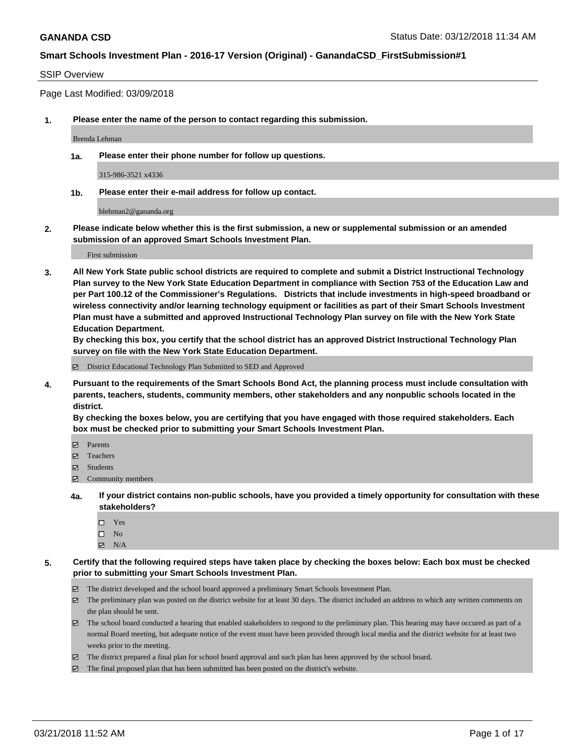#### SSIP Overview

Page Last Modified: 03/09/2018

**1. Please enter the name of the person to contact regarding this submission.**

Brenda Lehman

**1a. Please enter their phone number for follow up questions.**

315-986-3521 x4336

**1b. Please enter their e-mail address for follow up contact.**

blehman2@gananda.org

**2. Please indicate below whether this is the first submission, a new or supplemental submission or an amended submission of an approved Smart Schools Investment Plan.**

First submission

**3. All New York State public school districts are required to complete and submit a District Instructional Technology Plan survey to the New York State Education Department in compliance with Section 753 of the Education Law and per Part 100.12 of the Commissioner's Regulations. Districts that include investments in high-speed broadband or wireless connectivity and/or learning technology equipment or facilities as part of their Smart Schools Investment Plan must have a submitted and approved Instructional Technology Plan survey on file with the New York State Education Department.** 

**By checking this box, you certify that the school district has an approved District Instructional Technology Plan survey on file with the New York State Education Department.**

District Educational Technology Plan Submitted to SED and Approved

**4. Pursuant to the requirements of the Smart Schools Bond Act, the planning process must include consultation with parents, teachers, students, community members, other stakeholders and any nonpublic schools located in the district.** 

**By checking the boxes below, you are certifying that you have engaged with those required stakeholders. Each box must be checked prior to submitting your Smart Schools Investment Plan.**

- Parents
- Teachers
- Students
- $\Xi$  Community members
- **4a. If your district contains non-public schools, have you provided a timely opportunity for consultation with these stakeholders?**
	- Yes
	- $\square$  No
	- $N/A$
- **5. Certify that the following required steps have taken place by checking the boxes below: Each box must be checked prior to submitting your Smart Schools Investment Plan.**
	- The district developed and the school board approved a preliminary Smart Schools Investment Plan.
	- $\boxtimes$  The preliminary plan was posted on the district website for at least 30 days. The district included an address to which any written comments on the plan should be sent.
	- $\boxtimes$  The school board conducted a hearing that enabled stakeholders to respond to the preliminary plan. This hearing may have occured as part of a normal Board meeting, but adequate notice of the event must have been provided through local media and the district website for at least two weeks prior to the meeting.
	- The district prepared a final plan for school board approval and such plan has been approved by the school board.
	- $\boxtimes$  The final proposed plan that has been submitted has been posted on the district's website.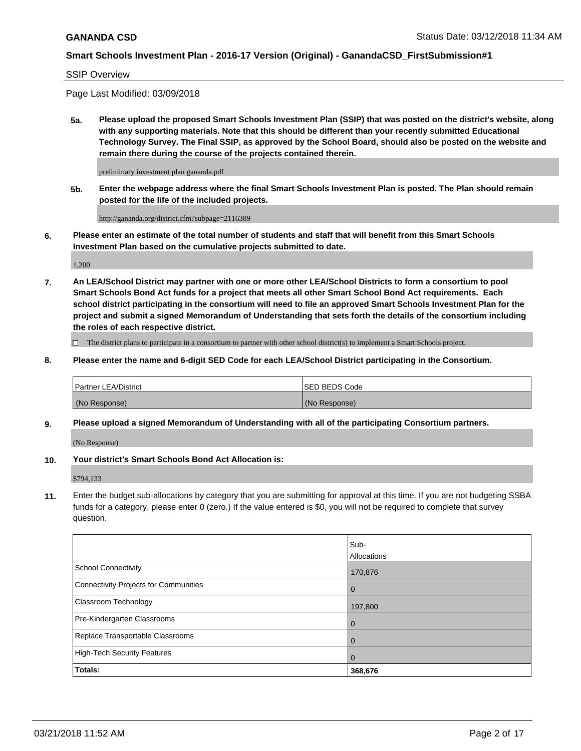#### SSIP Overview

Page Last Modified: 03/09/2018

**5a. Please upload the proposed Smart Schools Investment Plan (SSIP) that was posted on the district's website, along with any supporting materials. Note that this should be different than your recently submitted Educational Technology Survey. The Final SSIP, as approved by the School Board, should also be posted on the website and remain there during the course of the projects contained therein.**

preliminary investment plan gananda.pdf

**5b. Enter the webpage address where the final Smart Schools Investment Plan is posted. The Plan should remain posted for the life of the included projects.**

http://gananda.org/district.cfm?subpage=2116389

**6. Please enter an estimate of the total number of students and staff that will benefit from this Smart Schools Investment Plan based on the cumulative projects submitted to date.**

1,200

**7. An LEA/School District may partner with one or more other LEA/School Districts to form a consortium to pool Smart Schools Bond Act funds for a project that meets all other Smart School Bond Act requirements. Each school district participating in the consortium will need to file an approved Smart Schools Investment Plan for the project and submit a signed Memorandum of Understanding that sets forth the details of the consortium including the roles of each respective district.**

 $\Box$  The district plans to participate in a consortium to partner with other school district(s) to implement a Smart Schools project.

#### **8. Please enter the name and 6-digit SED Code for each LEA/School District participating in the Consortium.**

| <b>Partner LEA/District</b> | <b>ISED BEDS Code</b> |
|-----------------------------|-----------------------|
| (No Response)               | (No Response)         |

#### **9. Please upload a signed Memorandum of Understanding with all of the participating Consortium partners.**

(No Response)

## **10. Your district's Smart Schools Bond Act Allocation is:**

\$794,133

**11.** Enter the budget sub-allocations by category that you are submitting for approval at this time. If you are not budgeting SSBA funds for a category, please enter 0 (zero.) If the value entered is \$0, you will not be required to complete that survey question.

|                                              | Sub-<br>Allocations |
|----------------------------------------------|---------------------|
| <b>School Connectivity</b>                   | 170,876             |
| <b>Connectivity Projects for Communities</b> | $\overline{0}$      |
| Classroom Technology                         | 197,800             |
| Pre-Kindergarten Classrooms                  | $\overline{0}$      |
| Replace Transportable Classrooms             | 0                   |
| <b>High-Tech Security Features</b>           | $\overline{0}$      |
| Totals:                                      | 368,676             |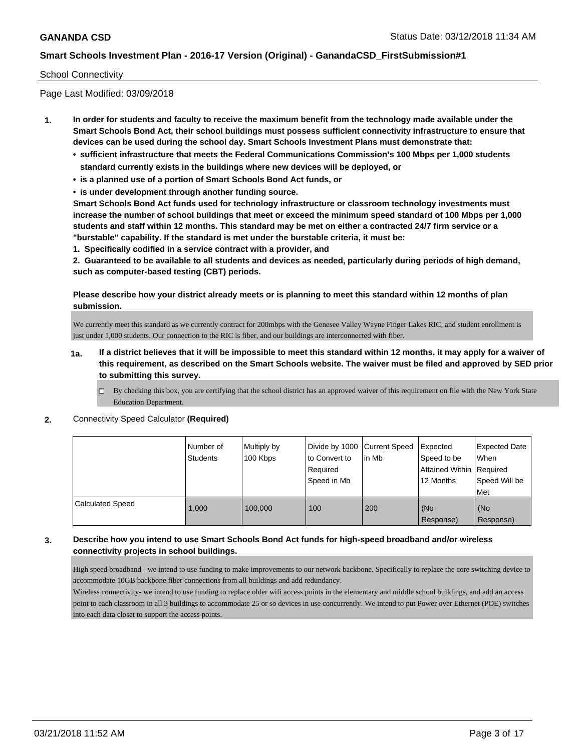#### School Connectivity

Page Last Modified: 03/09/2018

- **1. In order for students and faculty to receive the maximum benefit from the technology made available under the Smart Schools Bond Act, their school buildings must possess sufficient connectivity infrastructure to ensure that devices can be used during the school day. Smart Schools Investment Plans must demonstrate that:**
	- **• sufficient infrastructure that meets the Federal Communications Commission's 100 Mbps per 1,000 students standard currently exists in the buildings where new devices will be deployed, or**
	- **• is a planned use of a portion of Smart Schools Bond Act funds, or**
	- **• is under development through another funding source.**

**Smart Schools Bond Act funds used for technology infrastructure or classroom technology investments must increase the number of school buildings that meet or exceed the minimum speed standard of 100 Mbps per 1,000 students and staff within 12 months. This standard may be met on either a contracted 24/7 firm service or a "burstable" capability. If the standard is met under the burstable criteria, it must be:**

**1. Specifically codified in a service contract with a provider, and**

**2. Guaranteed to be available to all students and devices as needed, particularly during periods of high demand, such as computer-based testing (CBT) periods.**

**Please describe how your district already meets or is planning to meet this standard within 12 months of plan submission.**

We currently meet this standard as we currently contract for 200mbps with the Genesee Valley Wayne Finger Lakes RIC, and student enrollment is just under 1,000 students. Our connection to the RIC is fiber, and our buildings are interconnected with fiber.

- **1a. If a district believes that it will be impossible to meet this standard within 12 months, it may apply for a waiver of this requirement, as described on the Smart Schools website. The waiver must be filed and approved by SED prior to submitting this survey.**
	- By checking this box, you are certifying that the school district has an approved waiver of this requirement on file with the New York State Education Department.
- **2.** Connectivity Speed Calculator **(Required)**

|                         | Number of<br>Students | Multiply by<br>100 Kbps | Divide by 1000   Current Speed<br>to Convert to<br>Required<br>Speed in Mb | lin Mb | Expected<br>Speed to be<br>Attained Within   Required<br>12 Months | <b>Expected Date</b><br>When<br>Speed Will be<br><b>Met</b> |
|-------------------------|-----------------------|-------------------------|----------------------------------------------------------------------------|--------|--------------------------------------------------------------------|-------------------------------------------------------------|
| <b>Calculated Speed</b> | 1.000                 | 100,000                 | 100                                                                        | 200    | (No<br>Response)                                                   | (No<br>Response)                                            |

## **3. Describe how you intend to use Smart Schools Bond Act funds for high-speed broadband and/or wireless connectivity projects in school buildings.**

High speed broadband - we intend to use funding to make improvements to our network backbone. Specifically to replace the core switching device to accommodate 10GB backbone fiber connections from all buildings and add redundancy.

Wireless connectivity- we intend to use funding to replace older wifi access points in the elementary and middle school buildings, and add an access point to each classroom in all 3 buildings to accommodate 25 or so devices in use concurrently. We intend to put Power over Ethernet (POE) switches into each data closet to support the access points.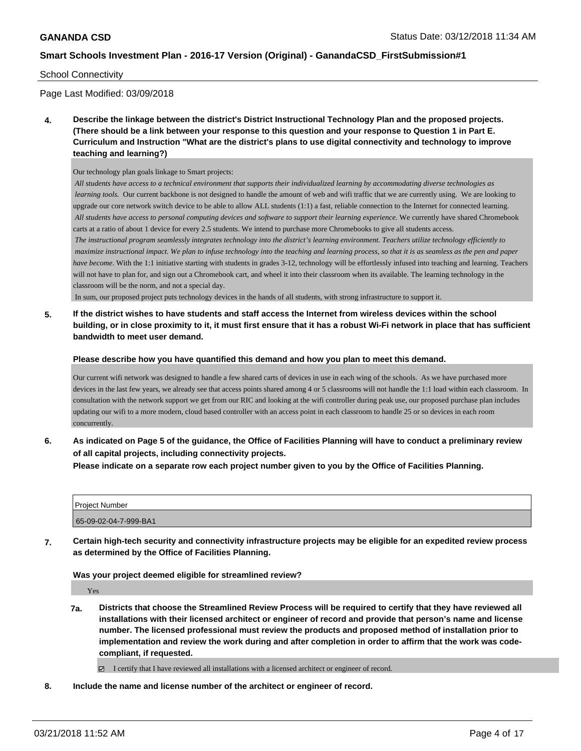#### School Connectivity

Page Last Modified: 03/09/2018

**4. Describe the linkage between the district's District Instructional Technology Plan and the proposed projects. (There should be a link between your response to this question and your response to Question 1 in Part E. Curriculum and Instruction "What are the district's plans to use digital connectivity and technology to improve teaching and learning?)**

Our technology plan goals linkage to Smart projects:

*All students have access to a technical environment that supports their individualized learning by accommodating diverse technologies as learning tools.* Our current backbone is not designed to handle the amount of web and wifi traffic that we are currently using. We are looking to upgrade our core network switch device to be able to allow ALL students (1:1) a fast, reliable connection to the Internet for connected learning. *All students have access to personal computing devices and software to support their learning experience.* We currently have shared Chromebook carts at a ratio of about 1 device for every 2.5 students. We intend to purchase more Chromebooks to give all students access.

*The instructional program seamlessly integrates technology into the district's learning environment. Teachers utilize technology efficiently to maximize instructional impact. We plan to infuse technology into the teaching and learning process, so that it is as seamless as the pen and paper have become*. With the 1:1 initiative starting with students in grades 3-12, technology will be effortlessly infused into teaching and learning. Teachers will not have to plan for, and sign out a Chromebook cart, and wheel it into their classroom when its available. The learning technology in the classroom will be the norm, and not a special day.

In sum, our proposed project puts technology devices in the hands of all students, with strong infrastructure to support it.

**5. If the district wishes to have students and staff access the Internet from wireless devices within the school building, or in close proximity to it, it must first ensure that it has a robust Wi-Fi network in place that has sufficient bandwidth to meet user demand.**

#### **Please describe how you have quantified this demand and how you plan to meet this demand.**

Our current wifi network was designed to handle a few shared carts of devices in use in each wing of the schools. As we have purchased more devices in the last few years, we already see that access points shared among 4 or 5 classrooms will not handle the 1:1 load within each classroom. In consultation with the network support we get from our RIC and looking at the wifi controller during peak use, our proposed purchase plan includes updating our wifi to a more modern, cloud based controller with an access point in each classroom to handle 25 or so devices in each room concurrently.

**6. As indicated on Page 5 of the guidance, the Office of Facilities Planning will have to conduct a preliminary review of all capital projects, including connectivity projects.**

**Please indicate on a separate row each project number given to you by the Office of Facilities Planning.**

| Project Number        |  |
|-----------------------|--|
| 65-09-02-04-7-999-BA1 |  |

**7. Certain high-tech security and connectivity infrastructure projects may be eligible for an expedited review process as determined by the Office of Facilities Planning.**

**Was your project deemed eligible for streamlined review?**

Yes

**7a. Districts that choose the Streamlined Review Process will be required to certify that they have reviewed all installations with their licensed architect or engineer of record and provide that person's name and license number. The licensed professional must review the products and proposed method of installation prior to implementation and review the work during and after completion in order to affirm that the work was codecompliant, if requested.**

I certify that I have reviewed all installations with a licensed architect or engineer of record.

**8. Include the name and license number of the architect or engineer of record.**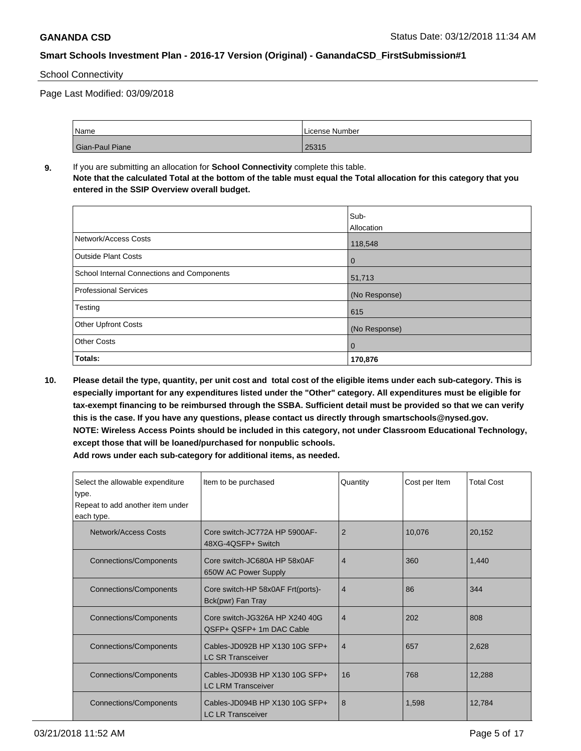## School Connectivity

Page Last Modified: 03/09/2018

| Name            | l License Number |
|-----------------|------------------|
| Gian-Paul Piane | 25315            |

**9.** If you are submitting an allocation for **School Connectivity** complete this table. **Note that the calculated Total at the bottom of the table must equal the Total allocation for this category that you entered in the SSIP Overview overall budget.** 

|                                            | Sub-          |
|--------------------------------------------|---------------|
|                                            | Allocation    |
| Network/Access Costs                       | 118,548       |
| <b>Outside Plant Costs</b>                 | $\mathbf 0$   |
| School Internal Connections and Components | 51,713        |
| Professional Services                      | (No Response) |
| Testing                                    | 615           |
| <b>Other Upfront Costs</b>                 | (No Response) |
| <b>Other Costs</b>                         | $\mathbf 0$   |
| Totals:                                    | 170,876       |

**10. Please detail the type, quantity, per unit cost and total cost of the eligible items under each sub-category. This is especially important for any expenditures listed under the "Other" category. All expenditures must be eligible for tax-exempt financing to be reimbursed through the SSBA. Sufficient detail must be provided so that we can verify this is the case. If you have any questions, please contact us directly through smartschools@nysed.gov. NOTE: Wireless Access Points should be included in this category, not under Classroom Educational Technology, except those that will be loaned/purchased for nonpublic schools.**

| Select the allowable expenditure<br>type.<br>Repeat to add another item under<br>each type. | Item to be purchased                                        | Quantity       | Cost per Item | <b>Total Cost</b> |
|---------------------------------------------------------------------------------------------|-------------------------------------------------------------|----------------|---------------|-------------------|
| Network/Access Costs                                                                        | Core switch-JC772A HP 5900AF-<br>48XG-4QSFP+ Switch         | $\overline{2}$ | 10,076        | 20,152            |
| <b>Connections/Components</b>                                                               | Core switch-JC680A HP 58x0AF<br>650W AC Power Supply        | 4              | 360           | 1,440             |
| Connections/Components                                                                      | Core switch-HP 58x0AF Frt(ports)-<br>Bck(pwr) Fan Tray      | $\overline{4}$ | 86            | 344               |
| <b>Connections/Components</b>                                                               | Core switch-JG326A HP X240 40G<br>QSFP+ QSFP+ 1m DAC Cable  | $\overline{4}$ | 202           | 808               |
| <b>Connections/Components</b>                                                               | Cables-JD092B HP X130 10G SFP+<br><b>LC SR Transceiver</b>  | $\overline{4}$ | 657           | 2,628             |
| <b>Connections/Components</b>                                                               | Cables-JD093B HP X130 10G SFP+<br><b>LC LRM Transceiver</b> | 16             | 768           | 12,288            |
| <b>Connections/Components</b>                                                               | Cables-JD094B HP X130 10G SFP+<br><b>LC LR Transceiver</b>  | 8              | 1,598         | 12,784            |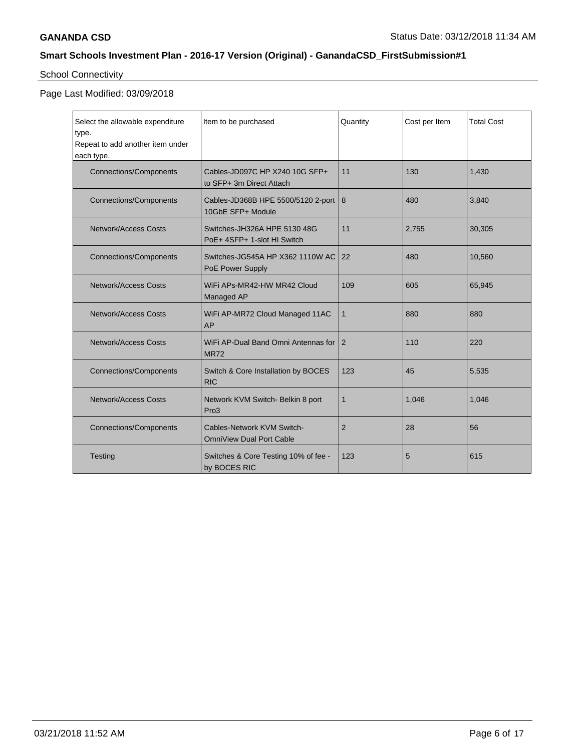# School Connectivity

# Page Last Modified: 03/09/2018

| Select the allowable expenditure<br>type.<br>Repeat to add another item under<br>each type.                                                                       | Item to be purchased                                                 | Quantity       | Cost per Item | <b>Total Cost</b> |
|-------------------------------------------------------------------------------------------------------------------------------------------------------------------|----------------------------------------------------------------------|----------------|---------------|-------------------|
| <b>Connections/Components</b>                                                                                                                                     | Cables-JD097C HP X240 10G SFP+<br>to SFP+ 3m Direct Attach           | 11             | 130           | 1,430             |
| <b>Connections/Components</b>                                                                                                                                     | Cables-JD368B HPE 5500/5120 2-port<br>10GbE SFP+ Module              | 8              | 480           | 3,840             |
| Network/Access Costs                                                                                                                                              | Switches-JH326A HPE 5130 48G<br>PoE+ 4SFP+ 1-slot HI Switch          | 11             | 2,755         | 30,305            |
| <b>Connections/Components</b>                                                                                                                                     | Switches-JG545A HP X362 1110W AC<br>PoE Power Supply                 | 22             | 480           | 10,560            |
| Network/Access Costs                                                                                                                                              | WiFi APs-MR42-HW MR42 Cloud<br>109<br>Managed AP                     |                | 605           | 65,945            |
| Network/Access Costs                                                                                                                                              | WiFi AP-MR72 Cloud Managed 11AC<br>AP                                | $\mathbf{1}$   | 880           | 880               |
| Network/Access Costs                                                                                                                                              | WiFi AP-Dual Band Omni Antennas for<br>$\overline{2}$<br><b>MR72</b> |                | 110           | 220               |
| <b>Connections/Components</b>                                                                                                                                     | Switch & Core Installation by BOCES<br>123<br><b>RIC</b>             |                | 45            | 5,535             |
| Network/Access Costs                                                                                                                                              | Network KVM Switch- Belkin 8 port<br>Pro3                            |                | 1,046         | 1,046             |
| Cables-Network KVM Switch-<br><b>Connections/Components</b><br><b>OmniView Dual Port Cable</b><br>Testing<br>Switches & Core Testing 10% of fee -<br>by BOCES RIC |                                                                      | $\overline{2}$ | 28            | 56                |
|                                                                                                                                                                   |                                                                      | 123            | 5             | 615               |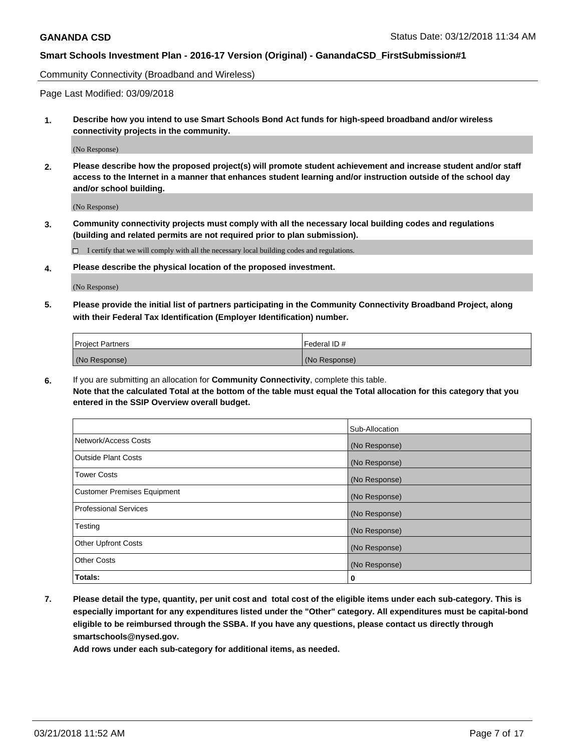Community Connectivity (Broadband and Wireless)

Page Last Modified: 03/09/2018

**1. Describe how you intend to use Smart Schools Bond Act funds for high-speed broadband and/or wireless connectivity projects in the community.**

(No Response)

**2. Please describe how the proposed project(s) will promote student achievement and increase student and/or staff access to the Internet in a manner that enhances student learning and/or instruction outside of the school day and/or school building.**

(No Response)

**3. Community connectivity projects must comply with all the necessary local building codes and regulations (building and related permits are not required prior to plan submission).**

 $\Box$  I certify that we will comply with all the necessary local building codes and regulations.

**4. Please describe the physical location of the proposed investment.**

(No Response)

**5. Please provide the initial list of partners participating in the Community Connectivity Broadband Project, along with their Federal Tax Identification (Employer Identification) number.**

| <b>Project Partners</b> | l Federal ID # |
|-------------------------|----------------|
| (No Response)           | (No Response)  |

**6.** If you are submitting an allocation for **Community Connectivity**, complete this table. **Note that the calculated Total at the bottom of the table must equal the Total allocation for this category that you entered in the SSIP Overview overall budget.**

|                                    | Sub-Allocation |
|------------------------------------|----------------|
| Network/Access Costs               | (No Response)  |
| Outside Plant Costs                | (No Response)  |
| <b>Tower Costs</b>                 | (No Response)  |
| <b>Customer Premises Equipment</b> | (No Response)  |
| Professional Services              | (No Response)  |
| Testing                            | (No Response)  |
| <b>Other Upfront Costs</b>         | (No Response)  |
| <b>Other Costs</b>                 | (No Response)  |
| Totals:                            | 0              |

**7. Please detail the type, quantity, per unit cost and total cost of the eligible items under each sub-category. This is especially important for any expenditures listed under the "Other" category. All expenditures must be capital-bond eligible to be reimbursed through the SSBA. If you have any questions, please contact us directly through smartschools@nysed.gov.**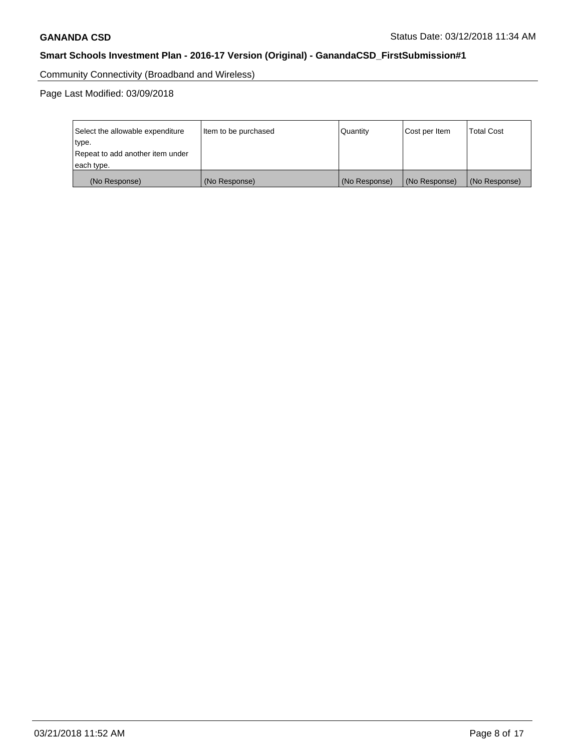Community Connectivity (Broadband and Wireless)

Page Last Modified: 03/09/2018

| Select the allowable expenditure<br>type.<br>Repeat to add another item under | Item to be purchased | Quantity      | Cost per Item | <b>Total Cost</b> |
|-------------------------------------------------------------------------------|----------------------|---------------|---------------|-------------------|
| each type.                                                                    |                      |               |               |                   |
| (No Response)                                                                 | (No Response)        | (No Response) | (No Response) | (No Response)     |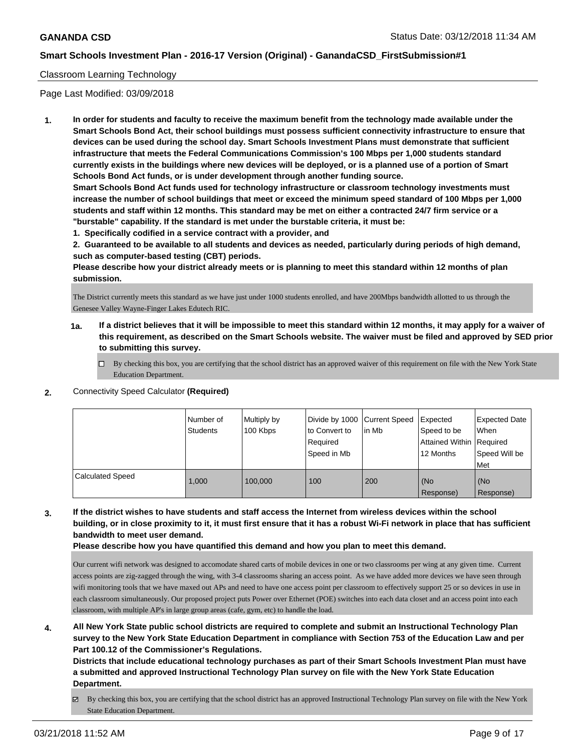#### Classroom Learning Technology

Page Last Modified: 03/09/2018

**1. In order for students and faculty to receive the maximum benefit from the technology made available under the Smart Schools Bond Act, their school buildings must possess sufficient connectivity infrastructure to ensure that devices can be used during the school day. Smart Schools Investment Plans must demonstrate that sufficient infrastructure that meets the Federal Communications Commission's 100 Mbps per 1,000 students standard currently exists in the buildings where new devices will be deployed, or is a planned use of a portion of Smart Schools Bond Act funds, or is under development through another funding source.**

**Smart Schools Bond Act funds used for technology infrastructure or classroom technology investments must increase the number of school buildings that meet or exceed the minimum speed standard of 100 Mbps per 1,000 students and staff within 12 months. This standard may be met on either a contracted 24/7 firm service or a "burstable" capability. If the standard is met under the burstable criteria, it must be:**

**1. Specifically codified in a service contract with a provider, and**

**2. Guaranteed to be available to all students and devices as needed, particularly during periods of high demand, such as computer-based testing (CBT) periods.**

**Please describe how your district already meets or is planning to meet this standard within 12 months of plan submission.**

The District currently meets this standard as we have just under 1000 students enrolled, and have 200Mbps bandwidth allotted to us through the Genesee Valley Wayne-Finger Lakes Edutech RIC.

- **1a. If a district believes that it will be impossible to meet this standard within 12 months, it may apply for a waiver of this requirement, as described on the Smart Schools website. The waiver must be filed and approved by SED prior to submitting this survey.**
	- By checking this box, you are certifying that the school district has an approved waiver of this requirement on file with the New York State Education Department.
- **2.** Connectivity Speed Calculator **(Required)**

|                         | Number of<br><b>Students</b> | Multiply by<br>100 Kbps | Divide by 1000 Current Speed<br>to Convert to<br>Required<br>Speed in Mb | l in Mb | Expected<br>Speed to be<br>Attained Within Required<br>12 Months | <b>Expected Date</b><br>When<br>Speed Will be<br><b>Met</b> |
|-------------------------|------------------------------|-------------------------|--------------------------------------------------------------------------|---------|------------------------------------------------------------------|-------------------------------------------------------------|
| <b>Calculated Speed</b> | 1.000                        | 100.000                 | 100                                                                      | 200     | (No<br>Response)                                                 | (No<br>Response)                                            |

**3. If the district wishes to have students and staff access the Internet from wireless devices within the school building, or in close proximity to it, it must first ensure that it has a robust Wi-Fi network in place that has sufficient bandwidth to meet user demand.**

**Please describe how you have quantified this demand and how you plan to meet this demand.**

Our current wifi network was designed to accomodate shared carts of mobile devices in one or two classrooms per wing at any given time. Current access points are zig-zagged through the wing, with 3-4 classrooms sharing an access point. As we have added more devices we have seen through wifi monitoring tools that we have maxed out APs and need to have one access point per classroom to effectively support 25 or so devices in use in each classroom simultaneously. Our proposed project puts Power over Ethernet (POE) switches into each data closet and an access point into each classroom, with multiple AP's in large group areas (cafe, gym, etc) to handle the load.

**4. All New York State public school districts are required to complete and submit an Instructional Technology Plan survey to the New York State Education Department in compliance with Section 753 of the Education Law and per Part 100.12 of the Commissioner's Regulations.**

**Districts that include educational technology purchases as part of their Smart Schools Investment Plan must have a submitted and approved Instructional Technology Plan survey on file with the New York State Education Department.**

By checking this box, you are certifying that the school district has an approved Instructional Technology Plan survey on file with the New York State Education Department.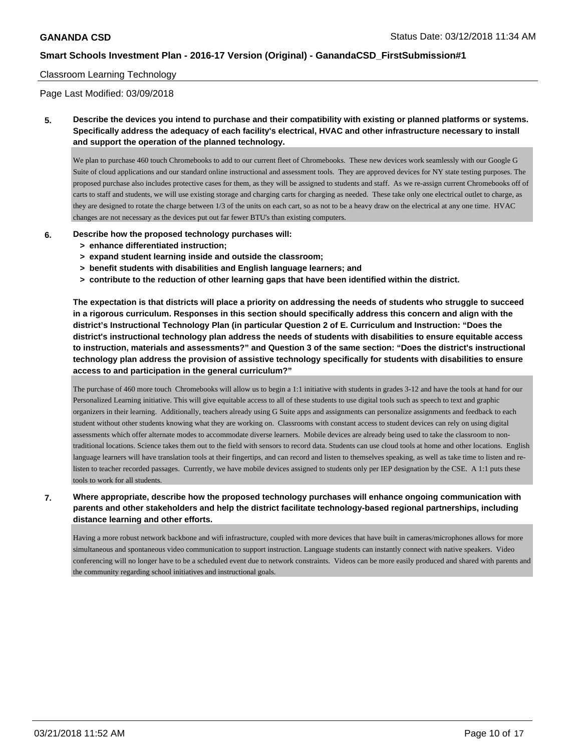#### Classroom Learning Technology

Page Last Modified: 03/09/2018

**5. Describe the devices you intend to purchase and their compatibility with existing or planned platforms or systems. Specifically address the adequacy of each facility's electrical, HVAC and other infrastructure necessary to install and support the operation of the planned technology.**

We plan to purchase 460 touch Chromebooks to add to our current fleet of Chromebooks. These new devices work seamlessly with our Google G Suite of cloud applications and our standard online instructional and assessment tools. They are approved devices for NY state testing purposes. The proposed purchase also includes protective cases for them, as they will be assigned to students and staff. As we re-assign current Chromebooks off of carts to staff and students, we will use existing storage and charging carts for charging as needed. These take only one electrical outlet to charge, as they are designed to rotate the charge between 1/3 of the units on each cart, so as not to be a heavy draw on the electrical at any one time. HVAC changes are not necessary as the devices put out far fewer BTU's than existing computers.

- **6. Describe how the proposed technology purchases will:**
	- **> enhance differentiated instruction;**
	- **> expand student learning inside and outside the classroom;**
	- **> benefit students with disabilities and English language learners; and**
	- **> contribute to the reduction of other learning gaps that have been identified within the district.**

**The expectation is that districts will place a priority on addressing the needs of students who struggle to succeed in a rigorous curriculum. Responses in this section should specifically address this concern and align with the district's Instructional Technology Plan (in particular Question 2 of E. Curriculum and Instruction: "Does the district's instructional technology plan address the needs of students with disabilities to ensure equitable access to instruction, materials and assessments?" and Question 3 of the same section: "Does the district's instructional technology plan address the provision of assistive technology specifically for students with disabilities to ensure access to and participation in the general curriculum?"**

The purchase of 460 more touch Chromebooks will allow us to begin a 1:1 initiative with students in grades 3-12 and have the tools at hand for our Personalized Learning initiative. This will give equitable access to all of these students to use digital tools such as speech to text and graphic organizers in their learning. Additionally, teachers already using G Suite apps and assignments can personalize assignments and feedback to each student without other students knowing what they are working on. Classrooms with constant access to student devices can rely on using digital assessments which offer alternate modes to accommodate diverse learners. Mobile devices are already being used to take the classroom to nontraditional locations. Science takes them out to the field with sensors to record data. Students can use cloud tools at home and other locations. English language learners will have translation tools at their fingertips, and can record and listen to themselves speaking, as well as take time to listen and relisten to teacher recorded passages. Currently, we have mobile devices assigned to students only per IEP designation by the CSE. A 1:1 puts these tools to work for all students.

### **7. Where appropriate, describe how the proposed technology purchases will enhance ongoing communication with parents and other stakeholders and help the district facilitate technology-based regional partnerships, including distance learning and other efforts.**

Having a more robust network backbone and wifi infrastructure, coupled with more devices that have built in cameras/microphones allows for more simultaneous and spontaneous video communication to support instruction. Language students can instantly connect with native speakers. Video conferencing will no longer have to be a scheduled event due to network constraints. Videos can be more easily produced and shared with parents and the community regarding school initiatives and instructional goals.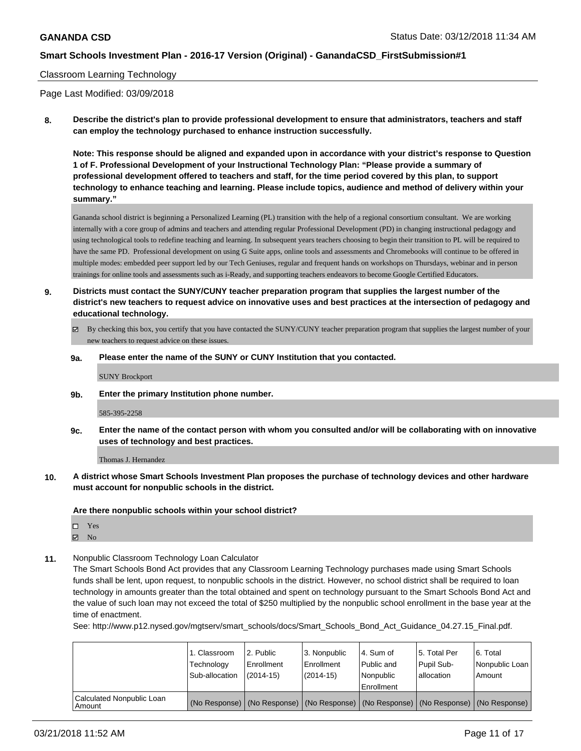#### Classroom Learning Technology

Page Last Modified: 03/09/2018

**8. Describe the district's plan to provide professional development to ensure that administrators, teachers and staff can employ the technology purchased to enhance instruction successfully.**

**Note: This response should be aligned and expanded upon in accordance with your district's response to Question 1 of F. Professional Development of your Instructional Technology Plan: "Please provide a summary of professional development offered to teachers and staff, for the time period covered by this plan, to support technology to enhance teaching and learning. Please include topics, audience and method of delivery within your summary."**

Gananda school district is beginning a Personalized Learning (PL) transition with the help of a regional consortium consultant. We are working internally with a core group of admins and teachers and attending regular Professional Development (PD) in changing instructional pedagogy and using technological tools to redefine teaching and learning. In subsequent years teachers choosing to begin their transition to PL will be required to have the same PD. Professional development on using G Suite apps, online tools and assessments and Chromebooks will continue to be offered in multiple modes: embedded peer support led by our Tech Geniuses, regular and frequent hands on workshops on Thursdays, webinar and in person trainings for online tools and assessments such as i-Ready, and supporting teachers endeavors to become Google Certified Educators.

- **9. Districts must contact the SUNY/CUNY teacher preparation program that supplies the largest number of the district's new teachers to request advice on innovative uses and best practices at the intersection of pedagogy and educational technology.**
	- By checking this box, you certify that you have contacted the SUNY/CUNY teacher preparation program that supplies the largest number of your new teachers to request advice on these issues.
	- **9a. Please enter the name of the SUNY or CUNY Institution that you contacted.**

SUNY Brockport

**9b. Enter the primary Institution phone number.**

585-395-2258

**9c. Enter the name of the contact person with whom you consulted and/or will be collaborating with on innovative uses of technology and best practices.**

Thomas J. Hernandez

**10. A district whose Smart Schools Investment Plan proposes the purchase of technology devices and other hardware must account for nonpublic schools in the district.**

**Are there nonpublic schools within your school district?**

| ┒ | Yes |
|---|-----|
| ↗ | No  |

**11.** Nonpublic Classroom Technology Loan Calculator

The Smart Schools Bond Act provides that any Classroom Learning Technology purchases made using Smart Schools funds shall be lent, upon request, to nonpublic schools in the district. However, no school district shall be required to loan technology in amounts greater than the total obtained and spent on technology pursuant to the Smart Schools Bond Act and the value of such loan may not exceed the total of \$250 multiplied by the nonpublic school enrollment in the base year at the time of enactment.

See: http://www.p12.nysed.gov/mgtserv/smart\_schools/docs/Smart\_Schools\_Bond\_Act\_Guidance\_04.27.15\_Final.pdf.

|                                     | I. Classroom<br>Technology<br>Sub-allocation | l 2. Public<br>l Enrollment<br>$(2014 - 15)$ | l 3. Nonpublic<br>Enrollment<br>(2014-15) | l 4. Sum of<br>Public and<br>l Nonpublic<br>Enrollment                                        | 15. Total Per<br>Pupil Sub-<br>allocation | 6. Total<br>Nonpublic Loan<br>Amount |
|-------------------------------------|----------------------------------------------|----------------------------------------------|-------------------------------------------|-----------------------------------------------------------------------------------------------|-------------------------------------------|--------------------------------------|
| Calculated Nonpublic Loan<br>Amount |                                              |                                              |                                           | (No Response)   (No Response)   (No Response)   (No Response)   (No Response)   (No Response) |                                           |                                      |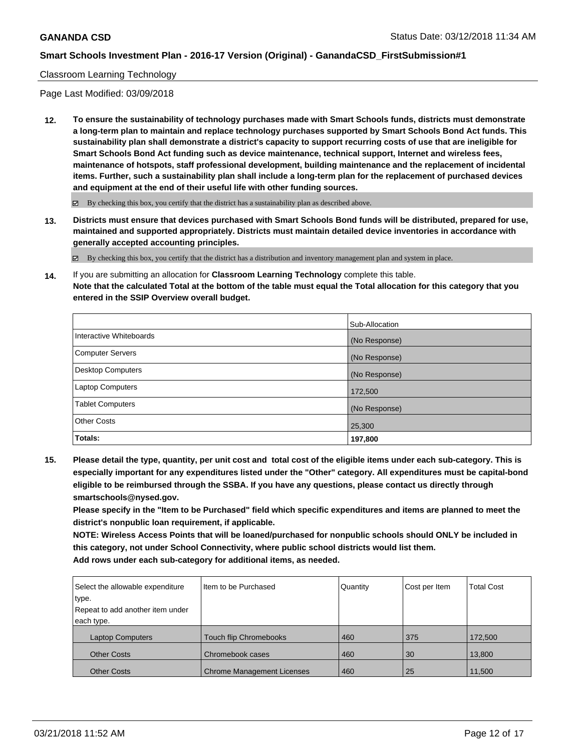#### Classroom Learning Technology

Page Last Modified: 03/09/2018

**12. To ensure the sustainability of technology purchases made with Smart Schools funds, districts must demonstrate a long-term plan to maintain and replace technology purchases supported by Smart Schools Bond Act funds. This sustainability plan shall demonstrate a district's capacity to support recurring costs of use that are ineligible for Smart Schools Bond Act funding such as device maintenance, technical support, Internet and wireless fees, maintenance of hotspots, staff professional development, building maintenance and the replacement of incidental items. Further, such a sustainability plan shall include a long-term plan for the replacement of purchased devices and equipment at the end of their useful life with other funding sources.**

 $\boxtimes$  By checking this box, you certify that the district has a sustainability plan as described above.

**13. Districts must ensure that devices purchased with Smart Schools Bond funds will be distributed, prepared for use, maintained and supported appropriately. Districts must maintain detailed device inventories in accordance with generally accepted accounting principles.**

By checking this box, you certify that the district has a distribution and inventory management plan and system in place.

**14.** If you are submitting an allocation for **Classroom Learning Technology** complete this table. **Note that the calculated Total at the bottom of the table must equal the Total allocation for this category that you entered in the SSIP Overview overall budget.**

|                          | Sub-Allocation |
|--------------------------|----------------|
| Interactive Whiteboards  | (No Response)  |
| Computer Servers         | (No Response)  |
| <b>Desktop Computers</b> | (No Response)  |
| Laptop Computers         | 172,500        |
| <b>Tablet Computers</b>  | (No Response)  |
| <b>Other Costs</b>       | 25,300         |
| Totals:                  | 197,800        |

**15. Please detail the type, quantity, per unit cost and total cost of the eligible items under each sub-category. This is especially important for any expenditures listed under the "Other" category. All expenditures must be capital-bond eligible to be reimbursed through the SSBA. If you have any questions, please contact us directly through smartschools@nysed.gov.**

**Please specify in the "Item to be Purchased" field which specific expenditures and items are planned to meet the district's nonpublic loan requirement, if applicable.**

**NOTE: Wireless Access Points that will be loaned/purchased for nonpublic schools should ONLY be included in this category, not under School Connectivity, where public school districts would list them. Add rows under each sub-category for additional items, as needed.**

| Select the allowable expenditure | Iltem to be Purchased         | Quantity | Cost per Item | <b>Total Cost</b> |
|----------------------------------|-------------------------------|----------|---------------|-------------------|
| type.                            |                               |          |               |                   |
| Repeat to add another item under |                               |          |               |                   |
| each type.                       |                               |          |               |                   |
| <b>Laptop Computers</b>          | <b>Touch flip Chromebooks</b> | 460      | 375           | 172,500           |
| <b>Other Costs</b>               | Chromebook cases              | 460      | 30            | 13,800            |
| <b>Other Costs</b>               | Chrome Management Licenses    | 460      | 25            | 11,500            |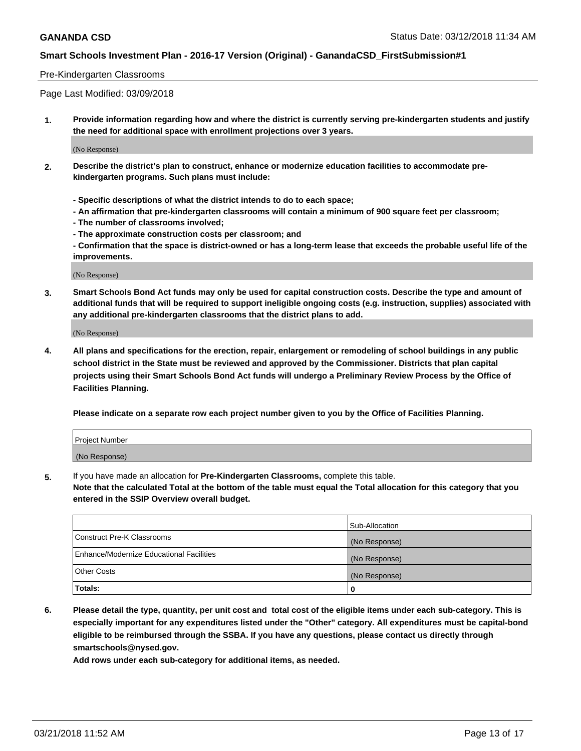#### Pre-Kindergarten Classrooms

Page Last Modified: 03/09/2018

**1. Provide information regarding how and where the district is currently serving pre-kindergarten students and justify the need for additional space with enrollment projections over 3 years.**

(No Response)

- **2. Describe the district's plan to construct, enhance or modernize education facilities to accommodate prekindergarten programs. Such plans must include:**
	- **Specific descriptions of what the district intends to do to each space;**
	- **An affirmation that pre-kindergarten classrooms will contain a minimum of 900 square feet per classroom;**
	- **The number of classrooms involved;**
	- **The approximate construction costs per classroom; and**
	- **Confirmation that the space is district-owned or has a long-term lease that exceeds the probable useful life of the improvements.**

(No Response)

**3. Smart Schools Bond Act funds may only be used for capital construction costs. Describe the type and amount of additional funds that will be required to support ineligible ongoing costs (e.g. instruction, supplies) associated with any additional pre-kindergarten classrooms that the district plans to add.**

(No Response)

**4. All plans and specifications for the erection, repair, enlargement or remodeling of school buildings in any public school district in the State must be reviewed and approved by the Commissioner. Districts that plan capital projects using their Smart Schools Bond Act funds will undergo a Preliminary Review Process by the Office of Facilities Planning.**

**Please indicate on a separate row each project number given to you by the Office of Facilities Planning.**

| <b>Project Number</b> |  |
|-----------------------|--|
| (No Response)         |  |

**5.** If you have made an allocation for **Pre-Kindergarten Classrooms,** complete this table.

**Note that the calculated Total at the bottom of the table must equal the Total allocation for this category that you entered in the SSIP Overview overall budget.**

|                                          | Sub-Allocation |
|------------------------------------------|----------------|
| Construct Pre-K Classrooms               | (No Response)  |
| Enhance/Modernize Educational Facilities | (No Response)  |
| Other Costs                              | (No Response)  |
| Totals:                                  | 0              |

**6. Please detail the type, quantity, per unit cost and total cost of the eligible items under each sub-category. This is especially important for any expenditures listed under the "Other" category. All expenditures must be capital-bond eligible to be reimbursed through the SSBA. If you have any questions, please contact us directly through smartschools@nysed.gov.**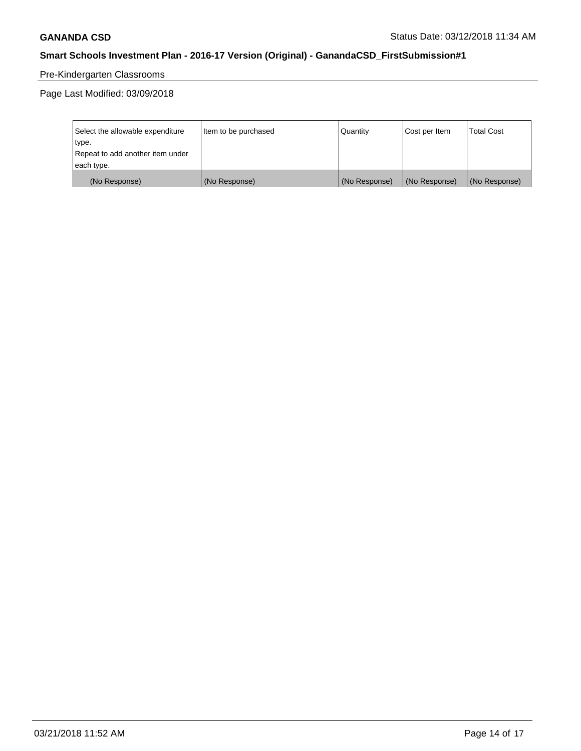# Pre-Kindergarten Classrooms

Page Last Modified: 03/09/2018

| Select the allowable expenditure | Item to be purchased | Quantity      | Cost per Item | <b>Total Cost</b> |
|----------------------------------|----------------------|---------------|---------------|-------------------|
| type.                            |                      |               |               |                   |
| Repeat to add another item under |                      |               |               |                   |
| each type.                       |                      |               |               |                   |
| (No Response)                    | (No Response)        | (No Response) | (No Response) | (No Response)     |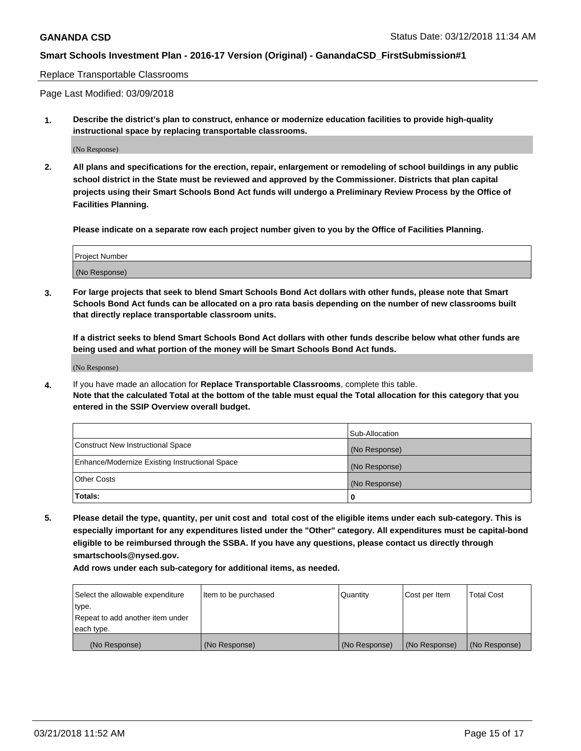#### Replace Transportable Classrooms

Page Last Modified: 03/09/2018

**1. Describe the district's plan to construct, enhance or modernize education facilities to provide high-quality instructional space by replacing transportable classrooms.**

(No Response)

**2. All plans and specifications for the erection, repair, enlargement or remodeling of school buildings in any public school district in the State must be reviewed and approved by the Commissioner. Districts that plan capital projects using their Smart Schools Bond Act funds will undergo a Preliminary Review Process by the Office of Facilities Planning.**

**Please indicate on a separate row each project number given to you by the Office of Facilities Planning.**

| Project Number |  |
|----------------|--|
| (No Response)  |  |

**3. For large projects that seek to blend Smart Schools Bond Act dollars with other funds, please note that Smart Schools Bond Act funds can be allocated on a pro rata basis depending on the number of new classrooms built that directly replace transportable classroom units.**

**If a district seeks to blend Smart Schools Bond Act dollars with other funds describe below what other funds are being used and what portion of the money will be Smart Schools Bond Act funds.**

(No Response)

**4.** If you have made an allocation for **Replace Transportable Classrooms**, complete this table. **Note that the calculated Total at the bottom of the table must equal the Total allocation for this category that you entered in the SSIP Overview overall budget.**

|                                                | Sub-Allocation |
|------------------------------------------------|----------------|
| Construct New Instructional Space              | (No Response)  |
| Enhance/Modernize Existing Instructional Space | (No Response)  |
| Other Costs                                    | (No Response)  |
| Totals:                                        | 0              |

**5. Please detail the type, quantity, per unit cost and total cost of the eligible items under each sub-category. This is especially important for any expenditures listed under the "Other" category. All expenditures must be capital-bond eligible to be reimbursed through the SSBA. If you have any questions, please contact us directly through smartschools@nysed.gov.**

| Select the allowable expenditure | Item to be purchased | Quantity      | Cost per Item | <b>Total Cost</b> |
|----------------------------------|----------------------|---------------|---------------|-------------------|
| type.                            |                      |               |               |                   |
| Repeat to add another item under |                      |               |               |                   |
| each type.                       |                      |               |               |                   |
| (No Response)                    | (No Response)        | (No Response) | (No Response) | (No Response)     |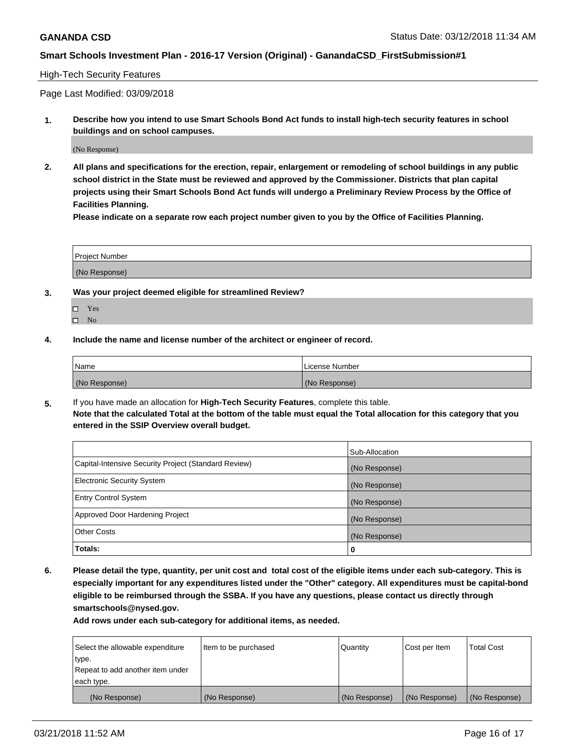#### High-Tech Security Features

Page Last Modified: 03/09/2018

**1. Describe how you intend to use Smart Schools Bond Act funds to install high-tech security features in school buildings and on school campuses.**

(No Response)

**2. All plans and specifications for the erection, repair, enlargement or remodeling of school buildings in any public school district in the State must be reviewed and approved by the Commissioner. Districts that plan capital projects using their Smart Schools Bond Act funds will undergo a Preliminary Review Process by the Office of Facilities Planning.** 

**Please indicate on a separate row each project number given to you by the Office of Facilities Planning.**

| <b>Project Number</b> |  |  |
|-----------------------|--|--|
|                       |  |  |
| (No Response)         |  |  |

- **3. Was your project deemed eligible for streamlined Review?**
	- Yes  $\square$  No
- **4. Include the name and license number of the architect or engineer of record.**

| Name          | License Number |
|---------------|----------------|
| (No Response) | (No Response)  |

**5.** If you have made an allocation for **High-Tech Security Features**, complete this table. **Note that the calculated Total at the bottom of the table must equal the Total allocation for this category that you entered in the SSIP Overview overall budget.**

|                                                      | Sub-Allocation |
|------------------------------------------------------|----------------|
| Capital-Intensive Security Project (Standard Review) | (No Response)  |
| <b>Electronic Security System</b>                    | (No Response)  |
| <b>Entry Control System</b>                          | (No Response)  |
| Approved Door Hardening Project                      | (No Response)  |
| <b>Other Costs</b>                                   | (No Response)  |
| Totals:                                              | 0              |

**6. Please detail the type, quantity, per unit cost and total cost of the eligible items under each sub-category. This is especially important for any expenditures listed under the "Other" category. All expenditures must be capital-bond eligible to be reimbursed through the SSBA. If you have any questions, please contact us directly through smartschools@nysed.gov.**

| Select the allowable expenditure | Item to be purchased | Quantity      | Cost per Item | <b>Total Cost</b> |
|----------------------------------|----------------------|---------------|---------------|-------------------|
| type.                            |                      |               |               |                   |
| Repeat to add another item under |                      |               |               |                   |
| each type.                       |                      |               |               |                   |
| (No Response)                    | (No Response)        | (No Response) | (No Response) | (No Response)     |